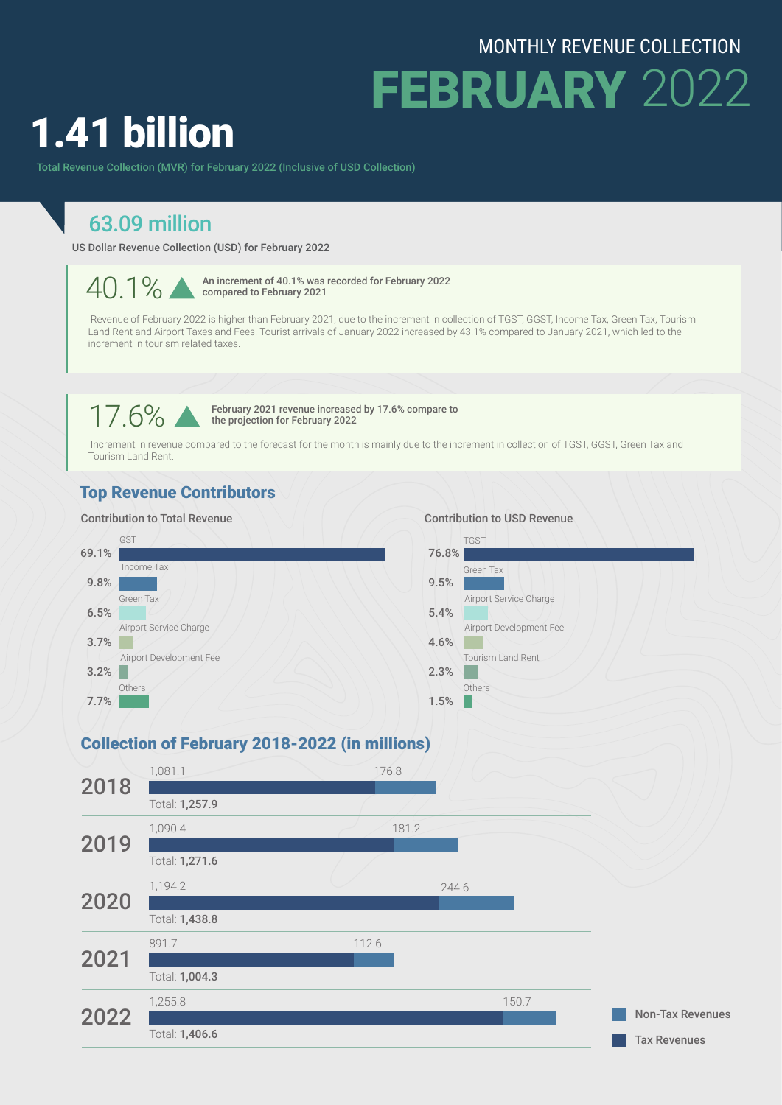## MONTHLY REVENUE COLLECTION

Tax Revenues

FEBRUARY 2022

# 1.41 billion

Total Revenue Collection (MVR) for February 2022 (Inclusive of USD Collection)

# 63.09 million

US Dollar Revenue Collection (USD) for February 2022

40.1% An increment of 40.1% was recorded for February 2022 compared to February 2021

 Revenue of February 2022 is higher than February 2021, due to the increment in collection of TGST, GGST, Income Tax, Green Tax, Tourism Land Rent and Airport Taxes and Fees. Tourist arrivals of January 2022 increased by 43.1% compared to January 2021, which led to the increment in tourism related taxes.

17.6% February 2021 revenue increased by 17.6% compare to<br>the projection for February 2022 the projection for February 2022

 Increment in revenue compared to the forecast for the month is mainly due to the increment in collection of TGST, GGST, Green Tax and Tourism Land Rent.

#### Top Revenue Contributors

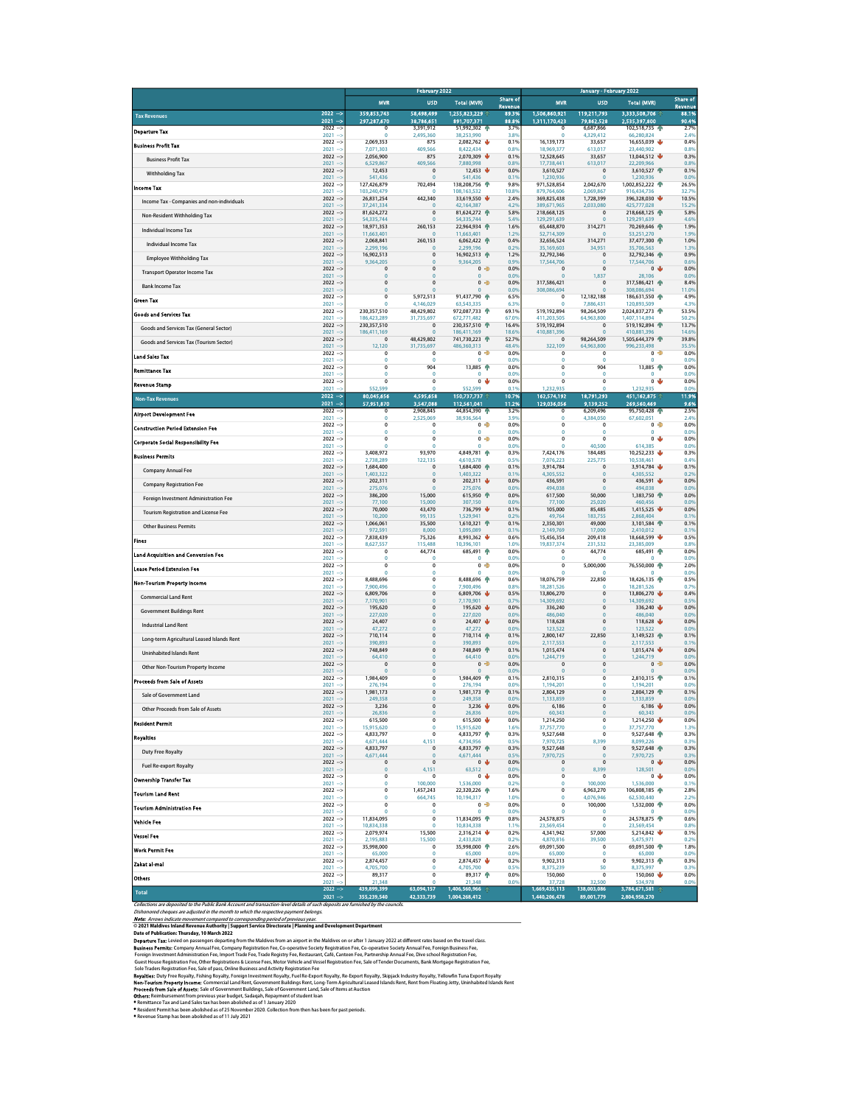|                                                                                                                                                                                                                                                                                                                                             |                             |                                  | <b>February 2022</b>             |                              | Share of              |                                |                                  | <b>January - February 2022</b>       | <b>Share of</b>  |
|---------------------------------------------------------------------------------------------------------------------------------------------------------------------------------------------------------------------------------------------------------------------------------------------------------------------------------------------|-----------------------------|----------------------------------|----------------------------------|------------------------------|-----------------------|--------------------------------|----------------------------------|--------------------------------------|------------------|
|                                                                                                                                                                                                                                                                                                                                             |                             | <b>MVR</b>                       | <b>USD</b>                       | <b>Total (MVR)</b>           | Revenue<br>89.3%      | <b>MVR</b>                     | <b>USD</b>                       | <b>Total (MVR)</b>                   | Revenue<br>88.1% |
| <b>Tax Revenues</b>                                                                                                                                                                                                                                                                                                                         | $2022 - 5$<br>$2021 -$      | 359,853,743<br>297,287,670       | 58,498,499<br>38,786,651         | 1,255,823,229<br>891,707,371 | 88.8%                 | 1,506,860,921<br>1,311,170,423 | 119,211,793<br>79,862,528        | 3,333,508,706<br>2,535,397,800       | 90.4%            |
| <b>Departure Tax</b>                                                                                                                                                                                                                                                                                                                        | $2022 - 5$<br>$2021 -$      | $^{\circ}$<br>$\Omega$           | 3.391.912<br>2,495,360           | 51,992,302 个<br>38,253,990   | 3.7%<br>3.89          | $^{\circ}$<br>$\mathbf 0$      | 6,687,866<br>4,329,412           | 102,518,735<br>66,280,824            | 2.7%<br>2.4%     |
| <b>Business Profit Tax</b>                                                                                                                                                                                                                                                                                                                  | $2022 -$                    | 2,069,353                        | 875<br>409,566                   | 2,082,762                    | 0.1%                  | 16,139,173                     | 33,657                           | 16,655,039                           | 0.4%<br>0.8%     |
| <b>Business Profit Tax</b>                                                                                                                                                                                                                                                                                                                  | $2021 -$<br>$2022 - 5$      | 7.071.303<br>2,056,900           | 875                              | 8.422.434<br>2,070,309       | 0.8%<br>₩<br>0.1%     | 18,969,377<br>12,528,645       | 613,017<br>33,657                | 23,440,902<br>13,044,512             | 0.3%             |
| <b>Withholding Tax</b>                                                                                                                                                                                                                                                                                                                      | $2021 -$<br>$2022 - 5$      | 6,529,867<br>12,453              | 409,566<br>$\mathbf 0$           | 7,880,998<br>12,453          | 0.8%<br>0.0%          | 17,738,441<br>3,610,527        | 613,017<br>$\pmb{0}$             | 22,209,966<br>3,610,527 个            | 0.8%<br>0.1%     |
|                                                                                                                                                                                                                                                                                                                                             | $2021 - 5$<br>$2022 - 5$    | 541,436<br>127,426,879           | $\overline{0}$<br>702,494        | 541,436<br>138,208,756       | 0.19<br>9.8%          | 1,230,936<br>971,528,854       | $\bf{0}$<br>2,042,670            | 1,230,936<br>1,002,852,222           | 0.0%<br>26.5%    |
| <b>Income Tax</b>                                                                                                                                                                                                                                                                                                                           | $2021 -$<br>$2022 - 5$      | 103.240.479<br>26,831,254        | $\Omega$<br>442,340              | 108.163.532<br>33,619,550    | 10.8%<br>ŵ<br>2.4%    | 879,764,606<br>369,825,438     | 2.069.867<br>1,728,399           | 916.434.736<br>396,328,030           | 32.7%<br>10.5%   |
| Income Tax - Companies and non-individuals                                                                                                                                                                                                                                                                                                  | $2021 - 3$                  | 37.241.334                       | $\overline{0}$                   | 42.164.387                   | 4.2%                  | 389.671.965                    | 2,033,080                        | 425,777,028                          | 15.29            |
| Non-Resident Withholding Tax                                                                                                                                                                                                                                                                                                                | $2022 - 5$<br>$2021 - 5$    | 81,624,272<br>54,335,744         | $\pmb{0}$<br>$\overline{0}$      | 81,624,272 个<br>54,335,744   | 5.8%<br>5.4%          | 218,668,125<br>129,291,639     | $\pmb{0}$<br>$\overline{0}$      | 218,668,125<br>129,291,639           | 5.8%<br>4.6%     |
| Individual Income Tax                                                                                                                                                                                                                                                                                                                       | $2022 - 5$<br>$2021 - 5$    | 18,971,353<br>11,663,401         | 260,153<br>$\overline{0}$        | 22,964,934<br>11,663,401     | 个<br>1.6%<br>1.2%     | 65,448,870<br>52,714,309       | 314,271<br>$\bf{0}$              | 70,269,646<br>53,251,270             | 1.9%<br>1.9%     |
| <b>Individual Income Tax</b>                                                                                                                                                                                                                                                                                                                | $2022 -$<br>$2021 - 3$      | 2,068,841<br>2,299,196           | 260,153<br>$\mathbf 0$           | 6,062,422<br>2.299.196       | 0.4%<br>0.2%          | 32,656,524<br>35,169,603       | 314,271<br>34,951                | 37,477,300 个<br>35,706,563           | 1.0%<br>1.3%     |
| <b>Employee Withholding Tax</b>                                                                                                                                                                                                                                                                                                             | $2022 - 5$<br>$2021 -$      | 16,902,513<br>9,364,205          | $\overline{0}$<br>$\overline{0}$ | 16,902,513 个<br>9,364,205    | 1.2%<br>0.9%          | 32,792,346<br>17,544,706       | $\pmb{0}$<br>$\overline{0}$      | 32,792,346 个<br>17,544,706           | 0.9%<br>0.6%     |
| <b>Transport Operator Income Tax</b>                                                                                                                                                                                                                                                                                                        | $2022 - 5$                  | $\mathbf 0$                      | $\mathbf 0$                      | $\mathbf{0}$                 | $\Rightarrow$<br>0.0% | $\mathbf 0$<br>$\overline{0}$  | $\mathbf{0}$                     | $\mathbf{0}$                         | 0.0%             |
| <b>Bank Income Tax</b>                                                                                                                                                                                                                                                                                                                      | $2021 - 5$<br>$2022 - 5$    | $\bf{0}$<br>$\mathbf{0}$         | $\bf{0}$<br>$\overline{0}$       | $\bf{0}$<br>0 <sup>2</sup>   | 0.0%<br>0.0%          | 317.586.421                    | 1,837<br>$\overline{0}$          | 28,106<br>317.586.421 个              | 0.0%<br>8.4%     |
| Green Tax                                                                                                                                                                                                                                                                                                                                   | $2021 -$<br>$2022 - 5$      | $\mathbf{0}$<br>0                | $\mathbf 0$<br>5,972,513         | 91,437,790 个                 | 0.0%<br>6.5%          | 308,086,694<br>$\mathbf 0$     | $\bf{0}$<br>12,182,188           | 308,086,694<br>186,631,550           | 11.09<br>4.9%    |
| <b>Goods and Services Tax</b>                                                                                                                                                                                                                                                                                                               | $2021 -$<br>$2022 - 5$      | $\Omega$<br>230,357,510          | 4.146.029<br>48,429,802          | 63.543.335<br>972,087,733 个  | 6.3%<br>69.1%         | $\Omega$<br>519,192,894        | 7.886.431<br>98,264,509          | 120,893,509<br>2,024,837,273         | 4.3%<br>53.5%    |
|                                                                                                                                                                                                                                                                                                                                             | $2021 - 3$<br>$2022 - 5$    | 186,423,289<br>230,357,510       | 31,735,697<br>$\mathbf 0$        | 672,771,482<br>230,357,510   | 67.0%<br>16.4%        | 411,203,505<br>519,192,894     | 64,963,800<br>$\mathbf{0}$       | 1,407,114,894<br>519,192,894         | 50.29<br>13.7%   |
| Goods and Services Tax (General Sector)                                                                                                                                                                                                                                                                                                     | $2021 - 5$<br>$2022 -$      | 186,411,169<br>$\overline{0}$    | $\overline{0}$<br>48,429,802     | 186,411,169<br>741,730,223   | 18.6%<br>52.7%        | 410,881,396<br>$\overline{0}$  | $\bf{0}$<br>98,264,509           | 410,881,396<br>1,505,644,379         | 14.6%<br>39.8%   |
| Goods and Services Tax (Tourism Sector)                                                                                                                                                                                                                                                                                                     | $2021 -$                    | 12,120                           | 31,735,697                       | 486,360,313                  | 48.4%                 | 322,109                        | 64,963,800                       | 996,233,498                          | 35.5%            |
| Land Sales Tax                                                                                                                                                                                                                                                                                                                              | $2022 - 5$<br>$2021 - 3$    | $\pmb{0}$<br>$\mathbf 0$         | 0<br>$\overline{0}$              | 0<br>$\overline{0}$          | Ð<br>0.0%<br>0.0%     | 0<br>$\theta$                  | 0<br>$\mathbf 0$                 | 0<br>0                               | 0.0%<br>0.0%     |
| <b>Remittance Tax</b>                                                                                                                                                                                                                                                                                                                       | $2022 - 5$<br>$2021 -$      | $\mathbf 0$<br>$\bf{0}$          | 904<br>0                         | 13,885 个<br>$\theta$         | 0.0%<br>0.0%          | $\mathbf 0$<br>0               | 904<br>0                         | 13,885 个                             | 0.0%<br>0.0%     |
| <b>Revenue Stamp</b>                                                                                                                                                                                                                                                                                                                        | $2022 - 5$<br>$2021 -$      | $\overline{0}$<br>552,599        | $\overline{0}$<br>$\Omega$       | $0 - \frac{1}{2}$<br>552.599 | 0.0%<br>0.1%          | $\overline{0}$<br>1,232,935    | $\overline{0}$<br>$\mathbf 0$    | 0 <sub>0</sub><br>1,232,935          | 0.0%<br>0.0%     |
| <b>Non-Tax Revenues</b>                                                                                                                                                                                                                                                                                                                     | $2022 -$<br>2021            | 80,045,656                       | 4,595,658                        | 150,737,737                  | 10.79                 | 162,574,192                    | 18.791.293                       | 451,162,875<br>269,560,469           | 11.9%            |
| <b>Airport Development Fee</b>                                                                                                                                                                                                                                                                                                              | $\rightarrow$<br>$2022 - 5$ | 57,951,870<br>$^{\circ}$         | 3,547,088<br>2,908,845           | 112,561,041<br>44,854,390    | 11.2%<br>3.2%         | 129,036,056<br>$\circ$         | 9,139,252<br>6.209.496           | 95,750,428                           | 9.6%<br>2.5%     |
| <b>Construction Period Extension Fee</b>                                                                                                                                                                                                                                                                                                    | $2021 -$<br>$2022 -$        | $\mathbf 0$<br>$\overline{0}$    | 2,525,069<br>$\overline{0}$      | 38,936,564<br>$\overline{0}$ | 3.9%<br>D<br>0.0%     | $\pmb{0}$<br>$\pmb{0}$         | 4,384,050<br>$\overline{0}$      | 67,602,051<br>$0$ $\Rightarrow$      | 2.4%<br>0.0%     |
|                                                                                                                                                                                                                                                                                                                                             | $2021 -$<br>$2022 - 5$      | $\circ$<br>$\pmb{0}$             | $\theta$<br>$\overline{0}$       | $\mathbf 0$<br>$\pmb{0}$     | 0.0%<br>⋑<br>0.0%     | $\mathbf 0$<br>$\pmb{0}$       | 0<br>0                           | $\circ$<br>0 <sub>0</sub>            | 0.0%<br>0.0%     |
| <b>Corporate Social Responsibility Fee</b>                                                                                                                                                                                                                                                                                                  | $2021 -$<br>$2022 -$        | $\mathbf 0$<br>3,408,972         | $\overline{0}$<br>93.970         | $\overline{0}$<br>4,849,781  | 0.0%<br>0.3%          | $\theta$<br>7.424.176          | 40,500<br>184,485                | 614,385<br>10,252,233                | 0.0%<br>0.3%     |
| <b>Business Permits</b>                                                                                                                                                                                                                                                                                                                     | $2021 -$<br>$2022 - 5$      | 2,738,289<br>1,684,400           | 122,135<br>$\mathbf 0$           | 4,610,578<br>1,684,400       | 0.5%<br>0.1%          | 7,076,223<br>3,914,784         | 225,775<br>$\overline{0}$        | 10,538,461<br>3,914,784              | 0.4%<br>0.1%     |
| <b>Company Annual Fee</b>                                                                                                                                                                                                                                                                                                                   | $2021 -$                    | 1,403,322                        | $\overline{0}$<br>$\bf{0}$       | 1,403,322                    | 0.1%<br>ψ             | 4,305,552                      | $\bf{0}$                         | 4,305,552                            | 0.29             |
| <b>Company Registration Fee</b>                                                                                                                                                                                                                                                                                                             | $2022 - 5$<br>$2021 -$      | 202,311<br>275.076               | $\overline{0}$                   | 202,311<br>275,076           | 0.0%<br>0.0%          | 436,591<br>494,038             | $\pmb{0}$<br>$\bf{0}$            | 436,591<br>494,038                   | 0.0%<br>0.0%     |
| Foreign Investment Administration Fee                                                                                                                                                                                                                                                                                                       | $2022 -$<br>$2021 - 5$      | 386,200<br>77,100                | 15,000<br>15,000                 | 615,950<br>307,150           | ۰<br>0.0%<br>0.0%     | 617,500<br>77,100              | 50,000<br>25,020                 | 1,383,750<br>460,456                 | 0.0%<br>0.0%     |
| <b>Tourism Registration and License Fee</b>                                                                                                                                                                                                                                                                                                 | $2022 - 5$<br>$2021 -$      | 70,000<br>10,200                 | 43,470<br>99,135                 | 736,799<br>1,529,941         | ŵ<br>0.1%<br>0.2%     | 105,000<br>49,764              | 85,485<br>183,755                | 1,415,525<br>2,868,404               | 0.0%<br>0.19     |
| <b>Other Business Permits</b>                                                                                                                                                                                                                                                                                                               | $2022 -$<br>$2021 -$        | 1,066,061<br>972,591             | 35,500<br>8,000                  | 1,610,321<br>1,095,089       | 个<br>0.1%<br>0.1%     | 2,350,301<br>2,149,769         | 49,000<br>17,000                 | 3,101,584<br>2,410,012               | 0.1%<br>0.1%     |
| <b>Fines</b>                                                                                                                                                                                                                                                                                                                                | $2022 - 5$<br>$2021 -$      | 7,838,439<br>8,627,557           | 75,326<br>115,488                | 8,993,362<br>10,396,101      | Ψ<br>0.6%<br>1.0%     | 15,456,354<br>19,837,374       | 209,418<br>231,532               | 18,668,599<br>23,385,009             | 0.5%<br>0.8%     |
| <b>Land Acquisition and Conversion Fee</b>                                                                                                                                                                                                                                                                                                  | $2022 -$                    | $\mathbf 0$                      | 44,774                           | 685,491                      | 个<br>0.0%             | $\mathbf 0$                    | 44,774                           | 685,491 个                            | 0.0%             |
| Lease Period Extension Fee                                                                                                                                                                                                                                                                                                                  | $2021 -$<br>$2022 -$        | $\bf{0}$<br>$\overline{0}$       | 0<br>$\overline{0}$              | 0<br>0 <sup>2</sup>          | 0.0%<br>0.0%          | 0<br>$\overline{0}$            | $\circ$<br>5,000,000             | $\mathbf 0$<br>76,550,000            | 0.0%<br>2.0%     |
|                                                                                                                                                                                                                                                                                                                                             | $2021 -$<br>$2022 -$        | $\Omega$<br>8,488,696            | $\theta$<br>$\pmb{0}$            | $\Omega$<br>8,488,696 个      | 0.0%<br>0.6%          | $\Omega$<br>18,076,759         | $\mathbf{0}$<br>22,850           | $\circ$<br>18,426,135                | 0.0%<br>0.5%     |
| Non-Tourism Property Income                                                                                                                                                                                                                                                                                                                 | $2021 -$<br>$2022 - 5$      | 7.900.496<br>6,809,706           | $\theta$<br>$\bf{0}$             | 7.900.496<br>6,809,706 ↓     | 0.8%<br>0.5%          | 18.281.526<br>13,806,270       | $\circ$<br>0                     | 18,281,526<br>13,806,270             | 0.7%<br>0.4%     |
| <b>Commercial Land Rent</b>                                                                                                                                                                                                                                                                                                                 | $2021 -$<br>$2022 - 5$      | 7,170,901<br>195,620             | $\overline{0}$<br>$\overline{0}$ | 7,170,901<br>195,620         | 0.7%<br>0.0%          | 14,309,692<br>336,240          | $\overline{0}$<br>$\overline{0}$ | 14,309,692<br>336,240                | 0.5%<br>0.0%     |
| <b>Government Buildings Rent</b>                                                                                                                                                                                                                                                                                                            | $2021 -$                    | 227,020                          | $\bf{0}$<br>$\overline{0}$       | 227,020                      | 0.0%<br>J.            | 486,040                        | $\pmb{0}$<br>$\bf{0}$            | 486,040                              | 0.0%             |
| <b>Industrial Land Rent</b>                                                                                                                                                                                                                                                                                                                 | $2022 -$<br>$2021 -$        | 24,407<br>47.272                 | $\overline{0}$                   | 24,407<br>47.272             | 0.0%<br>0.0%          | 118,628<br>123,522             | $\Omega$                         | 118,628<br>123,522                   | 0.0%<br>0.09     |
| Long-term Agricultural Leased Islands Rent                                                                                                                                                                                                                                                                                                  | $2022 - 5$<br>$2021 - 3$    | 710,114<br>390.893               | $\overline{0}$<br>$\overline{0}$ | 710,114<br>390,893           | 0.1%<br>0.0%          | 2,800,147<br>2.117.553         | 22,850<br>$\mathbf{0}$           | 3,149,523<br>2.117.553               | 0.1%<br>0.19     |
| <b>Uninhabited Islands Rent</b>                                                                                                                                                                                                                                                                                                             | $2022 -$<br>$2021 -$        | 748,849<br>64,410                | $\bf{0}$<br>$\overline{0}$       | 748,849<br>64,410            | 0.1%<br>0.0%          | 1,015,474<br>1,244,719         | 0<br>$\bf{0}$                    | 1,015,474<br>1,244,719               | 0.0%<br>0.0%     |
| Other Non-Tourism Property Income                                                                                                                                                                                                                                                                                                           | $2022 - 5$<br>$2021 -$      | $\overline{0}$<br>$\Omega$       | $\overline{0}$<br>$\bf{0}$       | 0 <sup>2</sup><br>$\Omega$   | 0.0%<br>0.0%          | $\overline{0}$<br>$\mathbf{0}$ | $\bf{0}$<br>$\pmb{0}$            | 0 <sup>2</sup><br>$\Omega$           | 0.0%<br>0.09     |
| <b>Proceeds from Sale of Assets</b>                                                                                                                                                                                                                                                                                                         | $2022 - 5$<br>$2021 -$      | 1,984,409<br>276.194             | $\overline{0}$<br>$\overline{0}$ | 1,984,409<br>276,194         | 0.1%<br>0.0%          | 2,810,315<br>1.194.201         | 0<br>$\mathbf{0}$                | 2,810,315<br>1.194.201               | 0.1%<br>0.0%     |
| Sale of Government Land                                                                                                                                                                                                                                                                                                                     | $2022 - 5$                  | 1,981,173                        | $\pmb{0}$                        | 1,981,173 个                  | 0.1%                  | 2,804,129                      | $\bf{0}$                         | 2,804,129 个                          | 0.1%             |
| Other Proceeds from Sale of Assets                                                                                                                                                                                                                                                                                                          | $2021 -$<br>$2022 - 5$      | 249,358<br>3,236                 | $\overline{0}$<br>$\mathbf 0$    | 249,358<br>3,236             | 0.0%<br>0.0%          | 1,133,859<br>6,186             | $\bf{0}$<br>0                    | 1,133,859<br>$6,186$ $\blacklozenge$ | 0.0%<br>0.0%     |
| <b>Resident Permit</b>                                                                                                                                                                                                                                                                                                                      | $2022 - 5$                  | 615,500                          | $\pmb{0}$                        | 615,500 $\sqrt$              | 0.0%                  | 1,214,250                      | $\pmb{0}$                        | 1,214,250                            | 0.0%             |
|                                                                                                                                                                                                                                                                                                                                             | $2021 - 5$<br>$2022 - 5$    | 15.915.620<br>4,833,797          | $\Omega$<br>$\pmb{0}$            | 15.915.620<br>4,833,797 个    | 1.6%<br>0.3%          | 37,757,770<br>9,527,648        | $\Omega$<br>$\pmb{0}$            | 37,757,770<br>9,527,648 个            | 1.3%<br>0.3%     |
| Royalties                                                                                                                                                                                                                                                                                                                                   | $2021 -$<br>$2022 - 5$      | 4.671.444<br>4,833,797           | 4.151<br>$\mathbf 0$             | 4.734.956<br>4,833,797       | 0.5%<br>0.3%          | 7.970.725<br>9,527,648         | 8.399<br>$\pmb{0}$               | 8.099.226<br>9,527,648               | 0.3%<br>0.3%     |
| <b>Duty Free Royalty</b>                                                                                                                                                                                                                                                                                                                    | $2021 -$<br>$2022 - 5$      | 4,671,444<br>$\mathbf{0}$        | $\overline{0}$<br>$\mathbf 0$    | 4,671,444<br>0 <sub>0</sub>  | 0.5%<br>0.0%          | 7,970,725<br>$\mathbf 0$       | $\overline{0}$<br>$\mathbf{0}$   | 7,970,725<br>0 <sub>0</sub>          | 0.3%<br>0.0%     |
| Fuel Re-export Royalty                                                                                                                                                                                                                                                                                                                      | $2021 - 5$                  | $\pmb{0}$                        | 4,151                            | 63,512                       | 0.0%                  | $\bf{0}$                       | 8,399                            | 128,501                              | 0.0%             |
| <b>Ownership Transfer Tax</b>                                                                                                                                                                                                                                                                                                               | $2022 - 5$<br>$2021 -$      | $\overline{0}$<br>$\overline{0}$ | $\overline{0}$<br>100,000        | 0 <sub>0</sub><br>1,536,000  | 0.0%<br>0.2%          | $\overline{0}$<br>$\circ$      | $\overline{0}$<br>100,000        | 0 <sub>0</sub><br>1,536,000          | 0.0%<br>0.1%     |
| <b>Tourism Land Rent</b>                                                                                                                                                                                                                                                                                                                    | $2022 - 5$<br>$2021 -$      | $\pmb{0}$<br>$\mathbf 0$         | 1,457,243<br>664,745             | 22,320,226<br>10,194,317     | 1.6%<br>1.0%          | $\pmb{0}$<br>$\theta$          | 6.963.270<br>4,076,946           | 106,808,185 个<br>62,530,440          | 2.8%<br>2.2%     |
| <b>Tourism Administration Fee</b>                                                                                                                                                                                                                                                                                                           | $2022 - 5$<br>$2021 - 3$    | $\mathbf 0$<br>$\mathbf 0$       | $\mathbf 0$<br>0                 | 0 <sup>2</sup><br>$\circ$    | 0.0%<br>0.0%          | 0<br>0                         | 100,000<br>0                     | 1,532,000 个                          | 0.0%<br>0.0%     |
| <b>Vehicle Fee</b>                                                                                                                                                                                                                                                                                                                          | $2022 - 5$<br>$2021 -$      | 11.834.095<br>10,834,338         | $\overline{0}$<br>$\Omega$       | 11,834,095<br>10,834,338     | 0.8%<br>1.1%          | 24.578.875<br>23,569,454       | $\overline{0}$<br>$\Omega$       | 24,578,875<br>23.569.454             | 0.6%<br>0.8%     |
| <b>Vessel Fee</b>                                                                                                                                                                                                                                                                                                                           | $2022 -$<br>$2021 -$        | 2,079,974<br>2.195.883           | 15,500<br>15,500                 | 2,316,214<br>2.433.828       | 0.2%                  | 4,341,942<br>4.870.816         | 57,000<br>39,500                 | 5,214,842<br>5,475,971               | 0.1%<br>0.2%     |
| <b>Work Permit Fee</b>                                                                                                                                                                                                                                                                                                                      | $2022 - 5$                  | 35,998,000                       | $\overline{0}$                   | 35,998,000 个                 | 0.2%<br>2.6%          | 69,091,500                     | $\mathbf 0$                      | 69,091,500 个                         | 1.8%             |
| Zakat al-mal                                                                                                                                                                                                                                                                                                                                | $2021 - 3$<br>$2022 - 5$    | 65,000<br>2,874,457              | $\overline{0}$<br>$\mathbf 0$    | 65,000<br>2,874,457          | 0.0%<br>0.2%          | 65,000<br>9.902.313            | $\mathbf 0$<br>$\mathbf 0$       | 65,000<br>$9.902.313$ +              | 0.0%<br>0.3%     |
|                                                                                                                                                                                                                                                                                                                                             | $2021 -$<br>$2022 - 5$      | 4,705,700<br>89,317              | $\theta$<br>$\overline{0}$       | 4,705,700<br>89,317 个        | 0.5%<br>0.0%          | 8,375,239<br>150,060           | 50<br>$\overline{0}$             | 8,375,997<br>150,060                 | 0.3%<br>0.0%     |
| <b>Others</b>                                                                                                                                                                                                                                                                                                                               | $2021 -$<br>2022            | 21.348<br>439,899,399            | $\Omega$<br>63,094,157           | 21.348<br>1,406,560,966      | 0.0%                  | 37.728<br>1,669,435,113        | 32.500<br>138,003,086            | 534.978<br>3,784,671,581             | 0.0%             |
| <b>Total</b><br>Collections are deposited to the Public Bank Account and transaction-level details of such deposits are furnished by the councils                                                                                                                                                                                           | $2021 - 3$                  | 355,239,540                      | 42,333,739                       | 1,004,268,412                |                       | 1,440,206,478                  | 89,001,779                       | 2,804,958,270                        |                  |
| Dishonored cheques are adjusted in the month to which the respective payment belongs.                                                                                                                                                                                                                                                       |                             |                                  |                                  |                              |                       |                                |                                  |                                      |                  |
| Note: Arrows indicate movement compared to corresponding period of previous year.<br>© 2021 Maldives Inland Revenue Authority   Support Service Directorate   Planning and Development Department                                                                                                                                           |                             |                                  |                                  |                              |                       |                                |                                  |                                      |                  |
| Date of Publication: Thursday, 10 March 2022<br>Departure Tax: Levied on passengers departing from the Maldives from an airport in the Maldives on or after 1 January 2022 at different rates based on the travel class.                                                                                                                    |                             |                                  |                                  |                              |                       |                                |                                  |                                      |                  |
| Business Permits: Company Annual Fee, Company Registration Fee, Co-operative Society Registration Fee, Co-operative Society Annual Fee, Foreign Business Fee,                                                                                                                                                                               |                             |                                  |                                  |                              |                       |                                |                                  |                                      |                  |
| Foreign Investment Administration Fee, Import Trade Fee, Trade Registry Fee, Restaurant, Café, Canteen Fee, Partnership Annual Fee, Dive school Reqistration Fee,<br>Guest House Registration Fee, Other Registrations & License Fees, Motor Vehicle and Vessel Registration Fee, Sale of Tender Documents, Bank Mortgage Registration Fee, |                             |                                  |                                  |                              |                       |                                |                                  |                                      |                  |
| Sole Traders Registration Fee, Sale of pass, Online Business and Activity Registration Fee<br>Royaldes: Duty Free Royalty, Fishing Royalty, Foreign Investment Royalty, Fuel Re-Export Royalty, Re-Export Royalty, Skipjack Industry Royalty, Yellowfin Tuna Export Royalty                                                                 |                             |                                  |                                  |                              |                       |                                |                                  |                                      |                  |
| Non-Tourism Property Income: Commercial Land Rent, Government Buildings Rent, Long-Term Agricultural Leased Islands Rent, Rent from Floating Jetty, Uninhabited Islands Rent<br>Proceeds from Sale of Assets: Sale of Government Buildings, Sale of Government Land, Sale of Items at Auction                                               |                             |                                  |                                  |                              |                       |                                |                                  |                                      |                  |
| Others: Reimbursement from previous year budget, Sadaqah, Repayment of student loan<br>Remittance Tax and Land Sales tax has been abolished as of 1 January 2020                                                                                                                                                                            |                             |                                  |                                  |                              |                       |                                |                                  |                                      |                  |
| * Resident Permit has been abolished as of 25 November 2020. Collection from then has been for past periods.<br>Revenue Stamp has been abolished as of 11 July 2021                                                                                                                                                                         |                             |                                  |                                  |                              |                       |                                |                                  |                                      |                  |